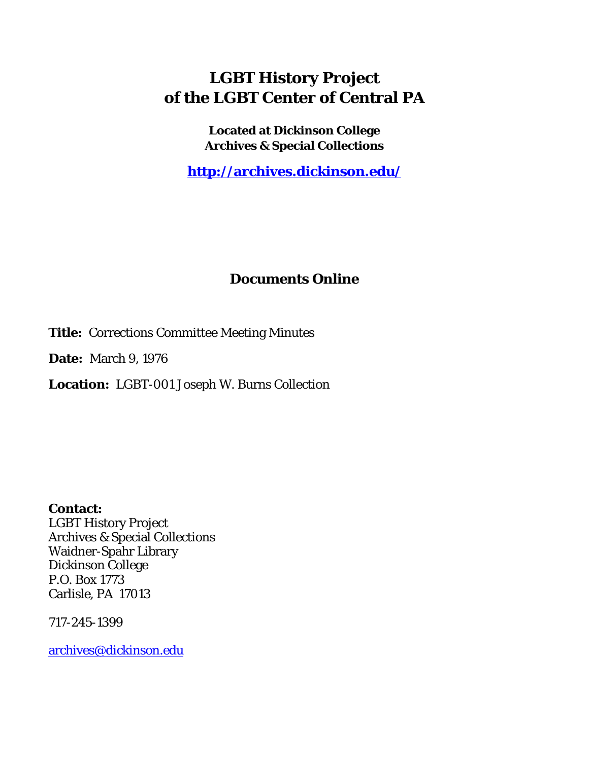# **LGBT History Project of the LGBT Center of Central PA**

**Located at Dickinson College Archives & Special Collections**

**<http://archives.dickinson.edu/>**

# **Documents Online**

**Title:** Corrections Committee Meeting Minutes

**Date:** March 9, 1976

**Location:** LGBT-001 Joseph W. Burns Collection

**Contact:**  LGBT History Project Archives & Special Collections Waidner-Spahr Library Dickinson College P.O. Box 1773 Carlisle, PA 17013

717-245-1399

[archives@dickinson.edu](mailto:archives@dickinson.edu)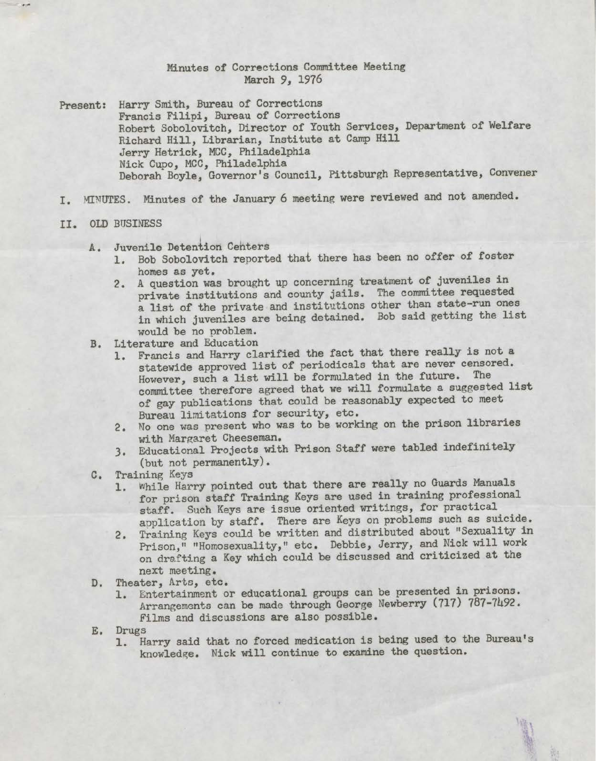## Minutes of Corrections Committee Meeting March *9,* 1976

- Present: Harry Smith, Bureau of Corrections Francis Filipi, Bureau of Corrections Robert Sobolovitch, Director of Youth Services, Department of Welfare Richard Hill, Librarian, Institute at Camp Hill Jerry Hetrick, MCC, Philadelphia Nick Cupo, MCC, Philadelphia Deborah Boyle, Governor's Council, Pittsburgh Representative, Convener
- I. MINUTES. Minutes of the January 6 meeting were reviewed and not amended.

### II. OLD BUSINESS

- A. Juvenile Detention Centers
	- 1. Bob Sobolovitch reported that there has been no offer of foster homes as yet.
	- 2. A question was brought up concerning treatment of juveniles in private institutions and county jails. The committee requested a list of the private and institutions other than state-run ones in which juveniles are being detained. Bob said getting the list would be no problem.
- B. Literature and Education
	- 1. Francis and Harry clarified the fact that there really is not a statewide approved list of periodicals that are never censored. However, such a list will be formulated in the future. The committee therefore agreed that we will formulate a suggested list of gay publications that could be reasonably expected to meet Bureau limitations for security, etc.
	- 2. No one was present who was to be working on the prison libraries with Margaret Cheeseman.
	- 3. Educational Projects with Prison Staff were tabled indefinitely (but not permanently).
- C. Training Keys
	- 1. while Harry pointed out that there are really no Guards Manuals for prison staff Training Keys are used in training professional staff. Such Keys are issue oriented writings, for practical application by staff. There are Keys on problems such as suicide.
	- 2. Training Keys could be written and distributed about ''Sexuality in Prison," "Homosexuality," etc. Debbie, Jerry, and Nick will work on drafting a Key which could be discussed and criticized at the next meeting.
- D. Theater, Arts, etc.
	- 1. Entertainment or educational groups can be presented in prisons. Arrangements can be made through George Newberry (717) 787-7492. Films and discussions are also possible.
- E. Drugs
	- 1. Harry said that no forced medication is being used to the Bureau's knowledge. Nick will continue to examine the question.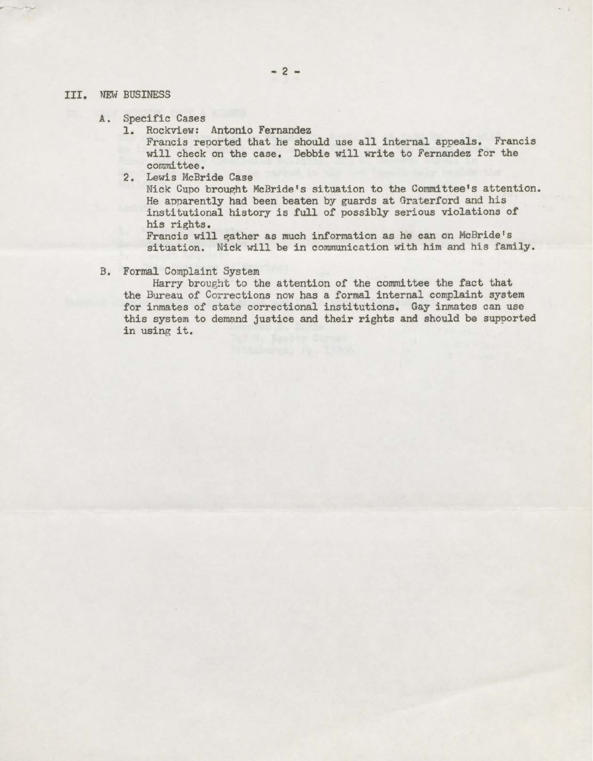#### III. NEW BUSINESS

- A. Specific Cases
	- 1. Rockview: Antonio Fernandez

Francis reported that he should use all internal appeals. Francis will check on the case. Debbie will write to Fernandez for the committee.

2. Lewis McBride Case

Nick Cupo brought McBride's situation to the Committee's attention. He apparently had been beaten by guards at Graterford and his institutional history is full of possibly serious violations of his rights.

Francis will gather as much information as he can on McBride's situation. Nick will be in communication with him and his family.

B. Formal Complaint System

Harry brought to the attention of the committee the fact that the Bureau of Corrections now has a formal internal complaint system for inmates of state correctional institutions. Gay inmates can use this system to demand justice and their rights and should be supported in using it.